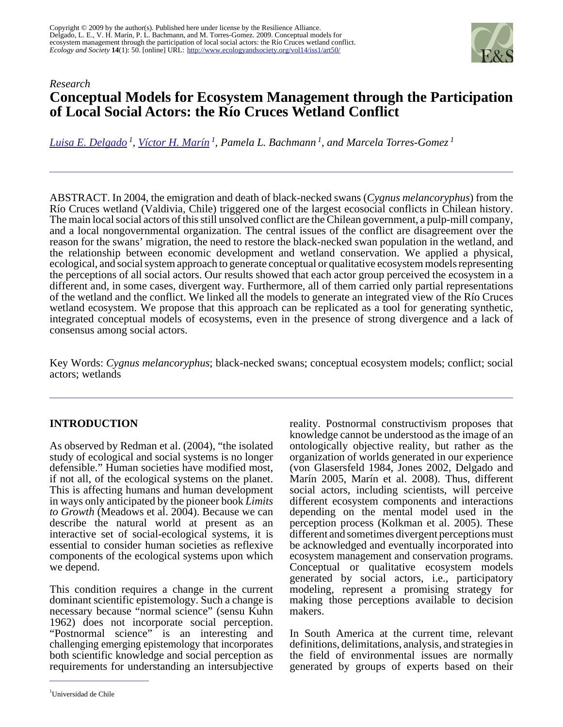

# *Research* **Conceptual Models for Ecosystem Management through the Participation of Local Social Actors: the Río Cruces Wetland Conflict**

*[Luisa E. Delgado](mailto:ldelgado@antar.uchile.cl)<sup>1</sup> , [Víctor H. Marín](mailto:vmarin@antar.uchile.cl)<sup>1</sup> , Pamela L. Bachmann<sup>1</sup>, and Marcela Torres-Gomez<sup>1</sup>*

ABSTRACT. In 2004, the emigration and death of black-necked swans (*Cygnus melancoryphus*) from the Río Cruces wetland (Valdivia, Chile) triggered one of the largest ecosocial conflicts in Chilean history. The main local social actors of this still unsolved conflict are the Chilean government, a pulp-mill company, and a local nongovernmental organization. The central issues of the conflict are disagreement over the reason for the swans' migration, the need to restore the black-necked swan population in the wetland, and the relationship between economic development and wetland conservation. We applied a physical, ecological, and social system approach to generate conceptual or qualitative ecosystem models representing the perceptions of all social actors. Our results showed that each actor group perceived the ecosystem in a different and, in some cases, divergent way. Furthermore, all of them carried only partial representations of the wetland and the conflict. We linked all the models to generate an integrated view of the Río Cruces wetland ecosystem. We propose that this approach can be replicated as a tool for generating synthetic, integrated conceptual models of ecosystems, even in the presence of strong divergence and a lack of consensus among social actors.

Key Words: *Cygnus melancoryphus*; black-necked swans; conceptual ecosystem models; conflict; social actors; wetlands

# **INTRODUCTION**

As observed by Redman et al. (2004), "the isolated study of ecological and social systems is no longer defensible." Human societies have modified most, if not all, of the ecological systems on the planet. This is affecting humans and human development in ways only anticipated by the pioneer book *Limits to Growth* (Meadows et al. 2004). Because we can describe the natural world at present as an interactive set of social-ecological systems, it is essential to consider human societies as reflexive components of the ecological systems upon which we depend.

This condition requires a change in the current dominant scientific epistemology. Such a change is necessary because "normal science" (sensu Kuhn 1962) does not incorporate social perception. "Postnormal science" is an interesting and challenging emerging epistemology that incorporates both scientific knowledge and social perception as requirements for understanding an intersubjective

reality. Postnormal constructivism proposes that knowledge cannot be understood as the image of an ontologically objective reality, but rather as the organization of worlds generated in our experience (von Glasersfeld 1984, Jones 2002, Delgado and Marín 2005, Marín et al. 2008). Thus, different social actors, including scientists, will perceive different ecosystem components and interactions depending on the mental model used in the perception process (Kolkman et al. 2005). These different and sometimes divergent perceptions must be acknowledged and eventually incorporated into ecosystem management and conservation programs. Conceptual or qualitative ecosystem models generated by social actors, i.e., participatory modeling, represent a promising strategy for making those perceptions available to decision makers.

In South America at the current time, relevant definitions, delimitations, analysis, and strategies in the field of environmental issues are normally generated by groups of experts based on their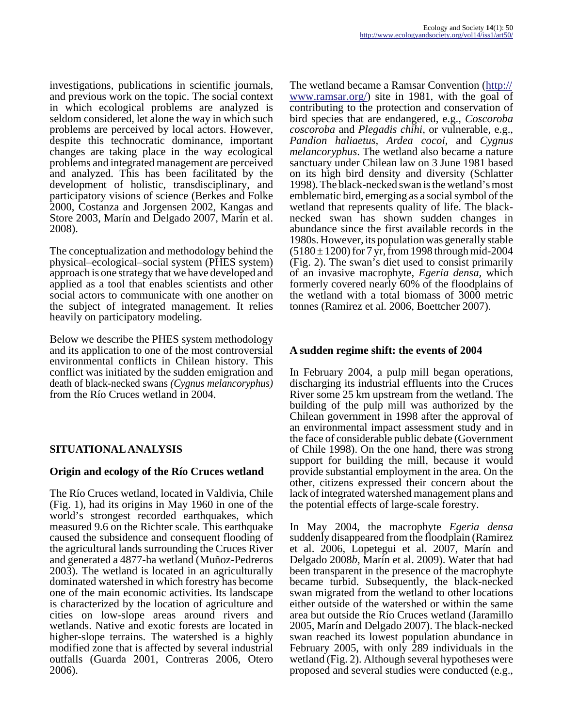investigations, publications in scientific journals, and previous work on the topic. The social context in which ecological problems are analyzed is seldom considered, let alone the way in which such problems are perceived by local actors. However, despite this technocratic dominance, important changes are taking place in the way ecological problems and integrated management are perceived and analyzed. This has been facilitated by the development of holistic, transdisciplinary, and participatory visions of science (Berkes and Folke 2000, Costanza and Jorgensen 2002, Kangas and Store 2003, Marín and Delgado 2007, Marín et al. 2008).

The conceptualization and methodology behind the physical–ecological–social system (PHES system) approach is one strategy that we have developed and applied as a tool that enables scientists and other social actors to communicate with one another on the subject of integrated management. It relies heavily on participatory modeling.

Below we describe the PHES system methodology and its application to one of the most controversial environmental conflicts in Chilean history. This conflict was initiated by the sudden emigration and death of black-necked swans *(Cygnus melancoryphus)* from the Río Cruces wetland in 2004.

# **SITUATIONAL ANALYSIS**

### **Origin and ecology of the Río Cruces wetland**

The Río Cruces wetland, located in Valdivia, Chile (Fig. 1), had its origins in May 1960 in one of the world's strongest recorded earthquakes, which measured 9.6 on the Richter scale. This earthquake caused the subsidence and consequent flooding of the agricultural lands surrounding the Cruces River and generated a 4877-ha wetland (Muñoz-Pedreros 2003). The wetland is located in an agriculturally dominated watershed in which forestry has become one of the main economic activities. Its landscape is characterized by the location of agriculture and cities on low-slope areas around rivers and wetlands. Native and exotic forests are located in higher-slope terrains. The watershed is a highly modified zone that is affected by several industrial outfalls (Guarda 2001, Contreras 2006, Otero 2006).

The wetland became a Ramsar Convention [\(http://](http://www.ramsar.org/) [www.ramsar.org/\)](http://www.ramsar.org/) site in 1981, with the goal of contributing to the protection and conservation of bird species that are endangered, e.g., *Coscoroba coscoroba* and *Plegadis chihi,* or vulnerable, e.g., *Pandion haliaetus, Ardea cocoi,* and *Cygnus melancoryphus*. The wetland also became a nature sanctuary under Chilean law on 3 June 1981 based on its high bird density and diversity (Schlatter 1998). The black-necked swan is the wetland's most emblematic bird, emerging as a social symbol of the wetland that represents quality of life. The blacknecked swan has shown sudden changes in abundance since the first available records in the 1980s. However, its population was generally stable  $(5180 \pm 1200)$  for 7 yr, from 1998 through mid-2004 (Fig. 2). The swan's diet used to consist primarily of an invasive macrophyte, *Egeria densa,* which formerly covered nearly 60% of the floodplains of the wetland with a total biomass of 3000 metric tonnes (Ramirez et al. 2006, Boettcher 2007).

### **A sudden regime shift: the events of 2004**

In February 2004, a pulp mill began operations, discharging its industrial effluents into the Cruces River some 25 km upstream from the wetland. The building of the pulp mill was authorized by the Chilean government in 1998 after the approval of an environmental impact assessment study and in the face of considerable public debate (Government of Chile 1998). On the one hand, there was strong support for building the mill, because it would provide substantial employment in the area. On the other, citizens expressed their concern about the lack of integrated watershed management plans and the potential effects of large-scale forestry.

In May 2004, the macrophyte *Egeria densa* suddenly disappeared from the floodplain (Ramirez et al. 2006, Lopetegui et al. 2007, Marín and Delgado 2008*b,* Marín et al. 2009). Water that had been transparent in the presence of the macrophyte became turbid. Subsequently, the black-necked swan migrated from the wetland to other locations either outside of the watershed or within the same area but outside the Río Cruces wetland (Jaramillo 2005, Marín and Delgado 2007). The black-necked swan reached its lowest population abundance in February 2005, with only 289 individuals in the wetland (Fig. 2). Although several hypotheses were proposed and several studies were conducted (e.g.,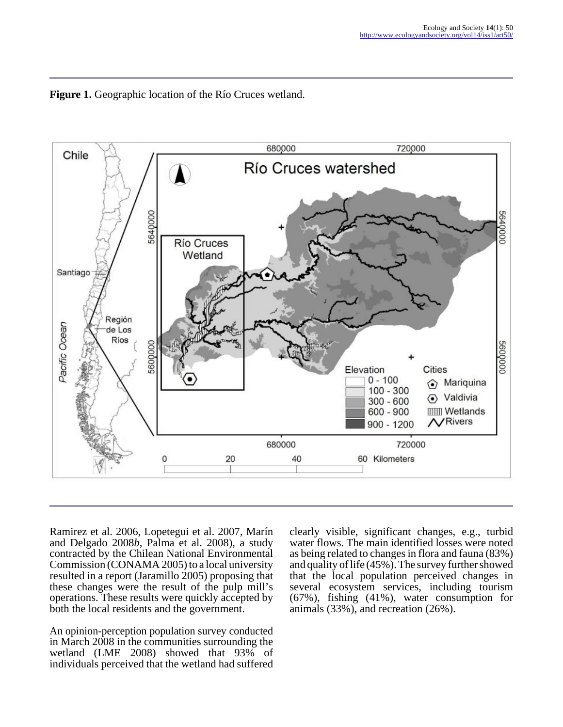



Ramirez et al. 2006, Lopetegui et al. 2007, Marín and Delgado 2008*b,* Palma et al. 2008), a study contracted by the Chilean National Environmental Commission (CONAMA 2005) to a local university resulted in a report (Jaramillo 2005) proposing that these changes were the result of the pulp mill's operations. These results were quickly accepted by both the local residents and the government.

An opinion-perception population survey conducted in March 2008 in the communities surrounding the wetland (LME 2008) showed that 93% of individuals perceived that the wetland had suffered

clearly visible, significant changes, e.g., turbid water flows. The main identified losses were noted as being related to changes in flora and fauna (83%) and quality of life (45%). The survey further showed that the local population perceived changes in several ecosystem services, including tourism (67%), fishing (41%), water consumption for animals (33%), and recreation (26%).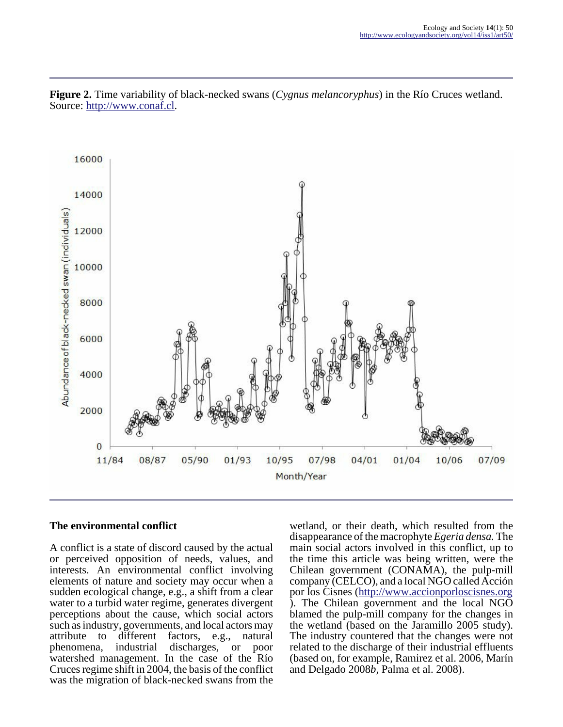

**Figure 2.** Time variability of black-necked swans (*Cygnus melancoryphus*) in the Río Cruces wetland. Source: [http://www.conaf.cl.](http://www.conaf.cl)

#### **The environmental conflict**

A conflict is a state of discord caused by the actual or perceived opposition of needs, values, and interests. An environmental conflict involving elements of nature and society may occur when a sudden ecological change, e.g., a shift from a clear water to a turbid water regime, generates divergent perceptions about the cause, which social actors such as industry, governments, and local actors may<br>attribute to different factors, e.g., natural attribute to different factors, e.g., phenomena, industrial discharges, c discharges, or poor watershed management. In the case of the Río Cruces regime shift in 2004, the basis of the conflict was the migration of black-necked swans from the

wetland, or their death, which resulted from the disappearance of the macrophyte *Egeria densa.* The main social actors involved in this conflict, up to the time this article was being written, were the Chilean government (CONAMA), the pulp-mill company (CELCO), and a local NGO called Acción por los Cisnes (<http://www.accionporloscisnes.org> ). The Chilean government and the local NGO blamed the pulp-mill company for the changes in the wetland (based on the Jaramillo 2005 study). The industry countered that the changes were not related to the discharge of their industrial effluents (based on, for example, Ramirez et al. 2006, Marín and Delgado 2008*b,* Palma et al. 2008).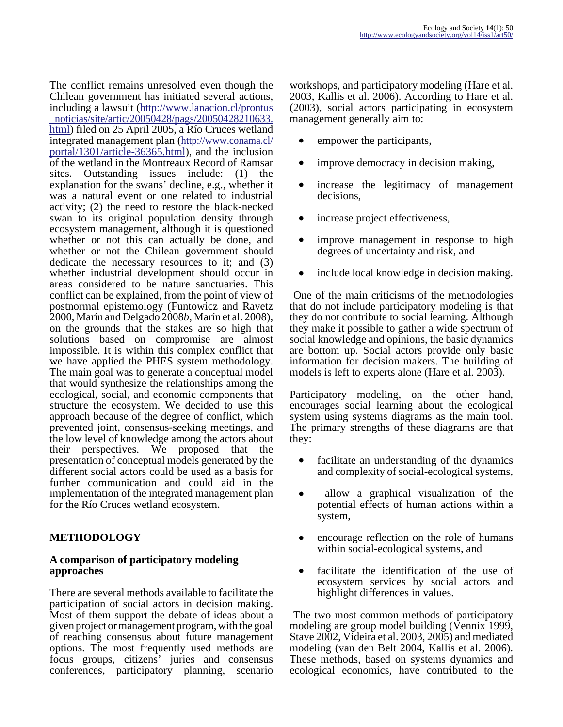The conflict remains unresolved even though the Chilean government has initiated several actions, including a lawsuit [\(http://www.lanacion.cl/prontus](http://www.lanacion.cl/prontus_noticias/site/artic/20050428/pags/20050428210633.html) \_noticias/site/artic/20050428/pags/20050428210633. [html](http://www.lanacion.cl/prontus_noticias/site/artic/20050428/pags/20050428210633.html)) filed on 25 April 2005, a Río Cruces wetland integrated management plan ([http://www.conama.cl/](http://www.conama.cl/portal/1301/article-36365.html) [portal/1301/article-36365.html\)](http://www.conama.cl/portal/1301/article-36365.html), and the inclusion of the wetland in the Montreaux Record of Ramsar sites. Outstanding issues include: (1) the explanation for the swans' decline, e.g., whether it was a natural event or one related to industrial activity; (2) the need to restore the black-necked swan to its original population density through ecosystem management, although it is questioned whether or not this can actually be done, and whether or not the Chilean government should dedicate the necessary resources to it; and (3) whether industrial development should occur in areas considered to be nature sanctuaries. This conflict can be explained, from the point of view of postnormal epistemology (Funtowicz and Ravetz 2000, Marín and Delgado 2008*b,* Marín et al. 2008), on the grounds that the stakes are so high that solutions based on compromise are almost impossible. It is within this complex conflict that we have applied the PHES system methodology. The main goal was to generate a conceptual model that would synthesize the relationships among the ecological, social, and economic components that structure the ecosystem. We decided to use this approach because of the degree of conflict, which prevented joint, consensus-seeking meetings, and the low level of knowledge among the actors about their perspectives. We proposed that the presentation of conceptual models generated by the different social actors could be used as a basis for further communication and could aid in the implementation of the integrated management plan for the Río Cruces wetland ecosystem.

# **METHODOLOGY**

#### **A comparison of participatory modeling approaches**

There are several methods available to facilitate the participation of social actors in decision making. Most of them support the debate of ideas about a given project or management program, with the goal of reaching consensus about future management options. The most frequently used methods are focus groups, citizens' juries and consensus conferences, participatory planning, scenario

workshops, and participatory modeling (Hare et al. 2003, Kallis et al. 2006). According to Hare et al. (2003), social actors participating in ecosystem management generally aim to:

- empower the participants,
- improve democracy in decision making,
- increase the legitimacy of management decisions,
- increase project effectiveness,
- improve management in response to high degrees of uncertainty and risk, and
- include local knowledge in decision making.

 One of the main criticisms of the methodologies that do not include participatory modeling is that they do not contribute to social learning. Although they make it possible to gather a wide spectrum of social knowledge and opinions, the basic dynamics are bottom up. Social actors provide only basic information for decision makers. The building of models is left to experts alone (Hare et al. 2003).

Participatory modeling, on the other hand, encourages social learning about the ecological system using systems diagrams as the main tool. The primary strengths of these diagrams are that they:

- facilitate an understanding of the dynamics and complexity of social-ecological systems,
- allow a graphical visualization of the potential effects of human actions within a system,
- encourage reflection on the role of humans within social-ecological systems, and
- facilitate the identification of the use of ecosystem services by social actors and highlight differences in values.

 The two most common methods of participatory modeling are group model building (Vennix 1999, Stave 2002, Videira et al. 2003, 2005) and mediated modeling (van den Belt 2004, Kallis et al. 2006). These methods, based on systems dynamics and ecological economics, have contributed to the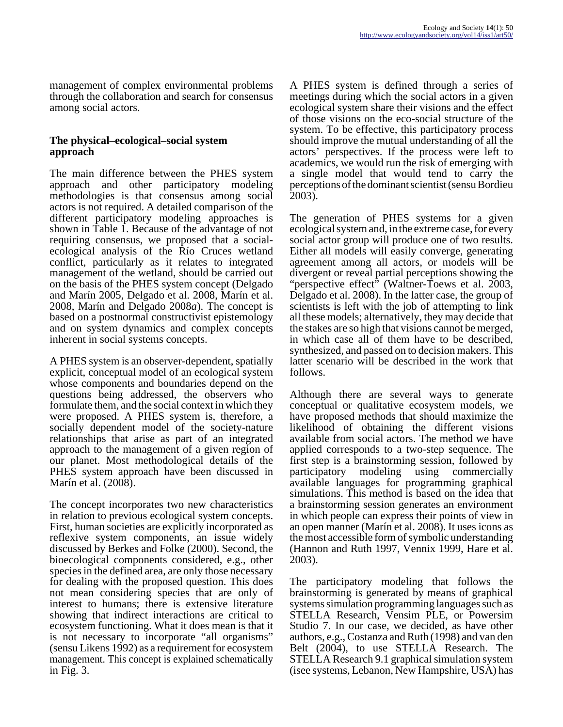management of complex environmental problems through the collaboration and search for consensus among social actors.

#### **The physical–ecological–social system approach**

The main difference between the PHES system approach and other participatory modeling methodologies is that consensus among social actors is not required. A detailed comparison of the different participatory modeling approaches is shown in Table 1. Because of the advantage of not requiring consensus, we proposed that a socialecological analysis of the Río Cruces wetland conflict, particularly as it relates to integrated management of the wetland, should be carried out on the basis of the PHES system concept (Delgado and Marín 2005, Delgado et al. 2008, Marín et al. 2008, Marín and Delgado 2008*a*). The concept is based on a postnormal constructivist epistemology and on system dynamics and complex concepts inherent in social systems concepts.

A PHES system is an observer-dependent, spatially explicit, conceptual model of an ecological system whose components and boundaries depend on the questions being addressed, the observers who formulate them, and the social context in which they were proposed. A PHES system is, therefore, a socially dependent model of the society-nature relationships that arise as part of an integrated approach to the management of a given region of our planet. Most methodological details of the PHES system approach have been discussed in Marín et al. (2008).

The concept incorporates two new characteristics in relation to previous ecological system concepts. First, human societies are explicitly incorporated as reflexive system components, an issue widely discussed by Berkes and Folke (2000). Second, the bioecological components considered, e.g., other species in the defined area, are only those necessary for dealing with the proposed question. This does not mean considering species that are only of interest to humans; there is extensive literature showing that indirect interactions are critical to ecosystem functioning. What it does mean is that it is not necessary to incorporate "all organisms" (sensu Likens 1992) as a requirement for ecosystem management. This concept is explained schematically in Fig. 3.

A PHES system is defined through a series of meetings during which the social actors in a given ecological system share their visions and the effect of those visions on the eco-social structure of the system. To be effective, this participatory process should improve the mutual understanding of all the actors' perspectives. If the process were left to academics, we would run the risk of emerging with a single model that would tend to carry the perceptions of the dominant scientist (sensu Bordieu 2003).

The generation of PHES systems for a given ecological system and, in the extreme case, for every social actor group will produce one of two results. Either all models will easily converge, generating agreement among all actors, or models will be divergent or reveal partial perceptions showing the "perspective effect" (Waltner-Toews et al. 2003, Delgado et al. 2008). In the latter case, the group of scientists is left with the job of attempting to link all these models; alternatively, they may decide that the stakes are so high that visions cannot be merged, in which case all of them have to be described, synthesized, and passed on to decision makers. This latter scenario will be described in the work that follows.

Although there are several ways to generate conceptual or qualitative ecosystem models, we have proposed methods that should maximize the likelihood of obtaining the different visions available from social actors. The method we have applied corresponds to a two-step sequence. The first step is a brainstorming session, followed by participatory modeling using commercially available languages for programming graphical simulations. This method is based on the idea that a brainstorming session generates an environment in which people can express their points of view in an open manner (Marín et al. 2008). It uses icons as the most accessible form of symbolic understanding (Hannon and Ruth 1997, Vennix 1999, Hare et al. 2003).

The participatory modeling that follows the brainstorming is generated by means of graphical systems simulation programming languages such as STELLA Research, Vensim PLE, or Powersim Studio 7. In our case, we decided, as have other authors, e.g., Costanza and Ruth (1998) and van den Belt (2004), to use STELLA Research. The STELLA Research 9.1 graphical simulation system (isee systems, Lebanon, New Hampshire, USA) has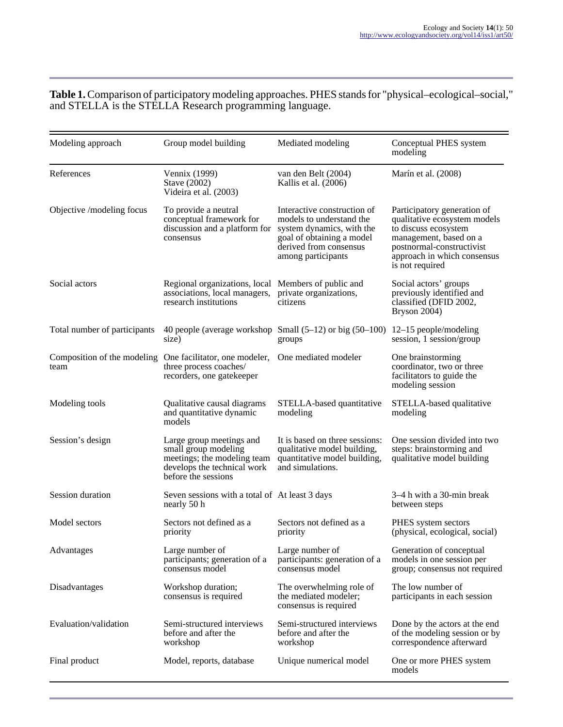#### **Table 1.** Comparison of participatory modeling approaches. PHES stands for "physical–ecological–social," and STELLA is the STELLA Research programming language.

| Modeling approach                   | Group model building                                                                                                                  | Mediated modeling                                                                                                                                                 | Conceptual PHES system<br>modeling                                                                                                                                                           |
|-------------------------------------|---------------------------------------------------------------------------------------------------------------------------------------|-------------------------------------------------------------------------------------------------------------------------------------------------------------------|----------------------------------------------------------------------------------------------------------------------------------------------------------------------------------------------|
| References                          | Vennix (1999)<br>Stave (2002)<br>Videira et al. (2003)                                                                                | van den Belt (2004)<br>Kallis et al. (2006)                                                                                                                       | Marín et al. (2008)                                                                                                                                                                          |
| Objective /modeling focus           | To provide a neutral<br>conceptual framework for<br>discussion and a platform for<br>consensus                                        | Interactive construction of<br>models to understand the<br>system dynamics, with the<br>goal of obtaining a model<br>derived from consensus<br>among participants | Participatory generation of<br>qualitative ecosystem models<br>to discuss ecosystem<br>management, based on a<br>postnormal-constructivist<br>approach in which consensus<br>is not required |
| Social actors                       | Regional organizations, local<br>associations, local managers,<br>research institutions                                               | Members of public and<br>private organizations,<br>citizens                                                                                                       | Social actors' groups<br>previously identified and<br>classified (DFID 2002,<br>Bryson 2004)                                                                                                 |
| Total number of participants        | size)                                                                                                                                 | 40 people (average workshop Small $(5-12)$ or big $(50-100)$ )<br>groups                                                                                          | $12-15$ people/modeling<br>session, 1 session/group                                                                                                                                          |
| Composition of the modeling<br>team | One facilitator, one modeler,<br>three process coaches/<br>recorders, one gatekeeper                                                  | One mediated modeler                                                                                                                                              | One brainstorming<br>coordinator, two or three<br>facilitators to guide the<br>modeling session                                                                                              |
| Modeling tools                      | Qualitative causal diagrams<br>and quantitative dynamic<br>models                                                                     | STELLA-based quantitative<br>modeling                                                                                                                             | STELLA-based qualitative<br>modeling                                                                                                                                                         |
| Session's design                    | Large group meetings and<br>small group modeling<br>meetings; the modeling team<br>develops the technical work<br>before the sessions | It is based on three sessions:<br>qualitative model building,<br>quantitative model building,<br>and simulations.                                                 | One session divided into two<br>steps: brainstorming and<br>qualitative model building                                                                                                       |
| Session duration                    | Seven sessions with a total of At least 3 days<br>nearly 50 h                                                                         |                                                                                                                                                                   | 3-4 h with a 30-min break<br>between steps                                                                                                                                                   |
| Model sectors                       | Sectors not defined as a<br>priority                                                                                                  | Sectors not defined as a<br>priority                                                                                                                              | PHES system sectors<br>(physical, ecological, social)                                                                                                                                        |
| Advantages                          | Large number of<br>participants; generation of a<br>consensus model                                                                   | Large number of<br>participants: generation of a<br>consensus model                                                                                               | Generation of conceptual<br>models in one session per<br>group; consensus not required                                                                                                       |
| Disadvantages                       | Workshop duration;<br>consensus is required                                                                                           | The overwhelming role of<br>the mediated modeler;<br>consensus is required                                                                                        | The low number of<br>participants in each session                                                                                                                                            |
| Evaluation/validation               | Semi-structured interviews<br>before and after the<br>workshop                                                                        | Semi-structured interviews<br>before and after the<br>workshop                                                                                                    | Done by the actors at the end<br>of the modeling session or by<br>correspondence afterward                                                                                                   |
| Final product                       | Model, reports, database                                                                                                              | Unique numerical model                                                                                                                                            | One or more PHES system<br>models                                                                                                                                                            |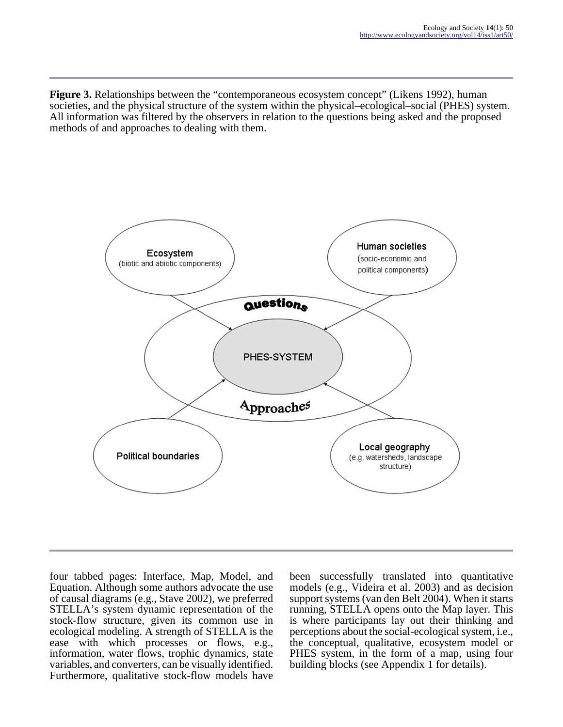**Figure 3.** Relationships between the "contemporaneous ecosystem concept" (Likens 1992), human societies, and the physical structure of the system within the physical–ecological–social (PHES) system. All information was filtered by the observers in relation to the questions being asked and the proposed methods of and approaches to dealing with them.



four tabbed pages: Interface, Map, Model, and Equation. Although some authors advocate the use of causal diagrams (e.g., Stave 2002), we preferred STELLA's system dynamic representation of the stock-flow structure, given its common use in ecological modeling. A strength of STELLA is the ease with which processes or flows, e.g., information, water flows, trophic dynamics, state variables, and converters, can be visually identified. Furthermore, qualitative stock-flow models have

been successfully translated into quantitative models (e.g., Videira et al. 2003) and as decision support systems (van den Belt 2004). When it starts running, STELLA opens onto the Map layer. This is where participants lay out their thinking and perceptions about the social-ecological system, i.e., the conceptual, qualitative, ecosystem model or PHES system, in the form of a map, using four building blocks (see Appendix 1 for details).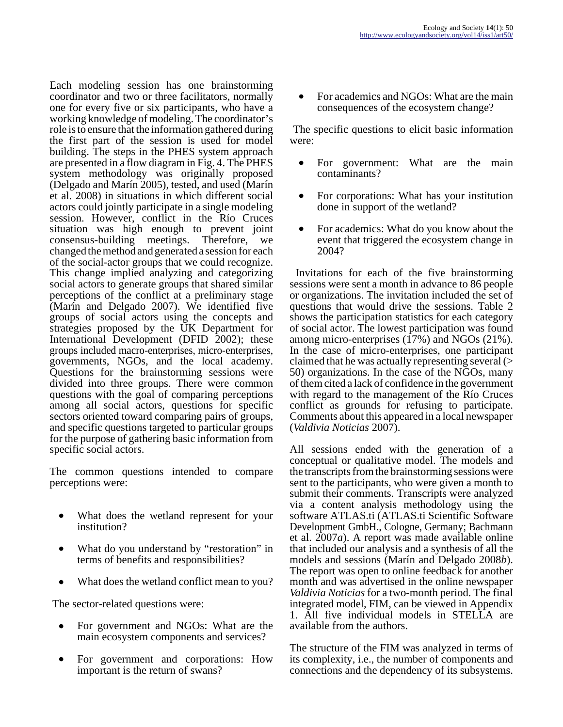Each modeling session has one brainstorming coordinator and two or three facilitators, normally one for every five or six participants, who have a working knowledge of modeling. The coordinator's role is to ensure that the information gathered during the first part of the session is used for model building. The steps in the PHES system approach are presented in a flow diagram in Fig. 4. The PHES system methodology was originally proposed (Delgado and Marín 2005), tested, and used (Marín et al. 2008) in situations in which different social actors could jointly participate in a single modeling session. However, conflict in the Río Cruces situation was high enough to prevent joint consensus-building meetings. Therefore, we consensus-building meetings. changed the method and generated a session for each of the social-actor groups that we could recognize. This change implied analyzing and categorizing social actors to generate groups that shared similar perceptions of the conflict at a preliminary stage (Marín and Delgado 2007). We identified five groups of social actors using the concepts and strategies proposed by the UK Department for International Development (DFID 2002); these groups included macro-enterprises, micro-enterprises, governments, NGOs, and the local academy. Questions for the brainstorming sessions were divided into three groups. There were common questions with the goal of comparing perceptions among all social actors, questions for specific sectors oriented toward comparing pairs of groups, and specific questions targeted to particular groups for the purpose of gathering basic information from specific social actors.

The common questions intended to compare perceptions were:

- What does the wetland represent for your institution?
- What do you understand by "restoration" in terms of benefits and responsibilities?
- What does the wetland conflict mean to you?

The sector-related questions were:

- For government and NGOs: What are the main ecosystem components and services?
- For government and corporations: How important is the return of swans?

For academics and NGOs: What are the main consequences of the ecosystem change?

 The specific questions to elicit basic information were:

- For government: What are the main contaminants?
- For corporations: What has your institution done in support of the wetland?
- For academics: What do you know about the event that triggered the ecosystem change in 2004?

 Invitations for each of the five brainstorming sessions were sent a month in advance to 86 people or organizations. The invitation included the set of questions that would drive the sessions. Table 2 shows the participation statistics for each category of social actor. The lowest participation was found among micro-enterprises (17%) and NGOs (21%). In the case of micro-enterprises, one participant claimed that he was actually representing several (> 50) organizations. In the case of the NGOs, many of them cited a lack of confidence in the government with regard to the management of the Río Cruces conflict as grounds for refusing to participate. Comments about this appeared in a local newspaper (*Valdivia Noticias* 2007).

All sessions ended with the generation of a conceptual or qualitative model. The models and the transcripts from the brainstorming sessions were sent to the participants, who were given a month to submit their comments. Transcripts were analyzed via a content analysis methodology using the software ATLAS.ti (ATLAS.ti Scientific Software Development GmbH., Cologne, Germany; Bachmann et al. 2007*a*). A report was made available online that included our analysis and a synthesis of all the models and sessions (Marín and Delgado 2008*b*). The report was open to online feedback for another month and was advertised in the online newspaper *Valdivia Noticias* for a two-month period. The final integrated model, FIM, can be viewed in Appendix 1. All five individual models in STELLA are available from the authors.

The structure of the FIM was analyzed in terms of its complexity, i.e., the number of components and connections and the dependency of its subsystems.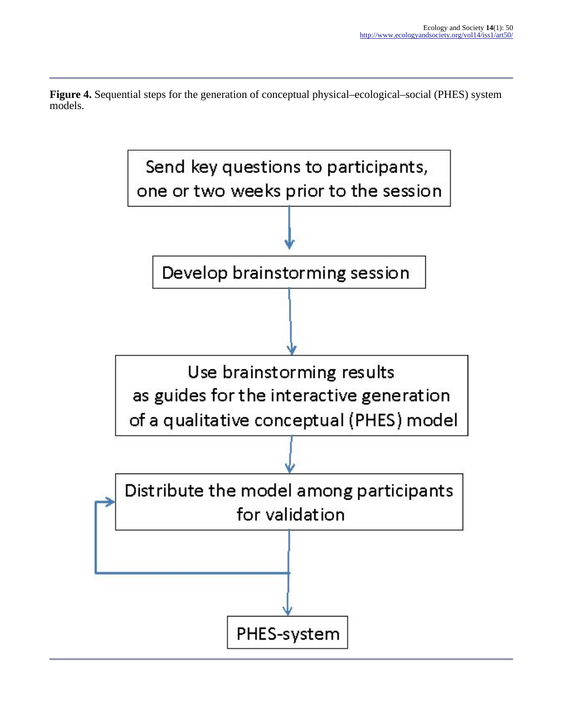**Figure 4.** Sequential steps for the generation of conceptual physical–ecological–social (PHES) system models.

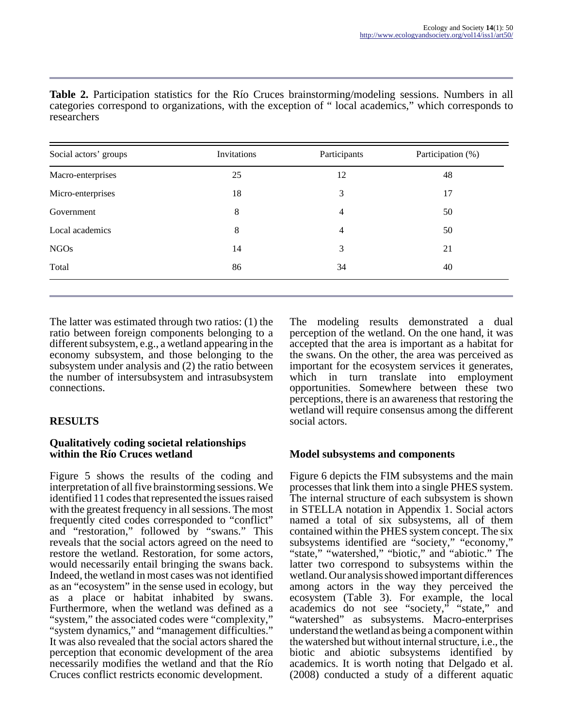| Social actors' groups | Invitations | Participants   | Participation (%) |  |
|-----------------------|-------------|----------------|-------------------|--|
| Macro-enterprises     | 25          | 12             | 48                |  |
| Micro-enterprises     | 18          | 3              | 17                |  |
| Government            | 8           | 4              | 50                |  |
| Local academics       | 8           | $\overline{4}$ | 50                |  |
| <b>NGOs</b>           | 14          | 3              | 21                |  |
| Total                 | 86          | 34             | 40                |  |

**Table 2.** Participation statistics for the Río Cruces brainstorming/modeling sessions. Numbers in all categories correspond to organizations, with the exception of " local academics," which corresponds to researchers

The latter was estimated through two ratios: (1) the ratio between foreign components belonging to a different subsystem, e.g., a wetland appearing in the economy subsystem, and those belonging to the subsystem under analysis and (2) the ratio between the number of intersubsystem and intrasubsystem connections.

# **RESULTS**

#### **Qualitatively coding societal relationships within the Río Cruces wetland**

Figure 5 shows the results of the coding and interpretation of all five brainstorming sessions. We identified 11 codes that represented the issues raised with the greatest frequency in all sessions. The most frequently cited codes corresponded to "conflict" and "restoration," followed by "swans." This reveals that the social actors agreed on the need to restore the wetland. Restoration, for some actors, would necessarily entail bringing the swans back. Indeed, the wetland in most cases was not identified as an "ecosystem" in the sense used in ecology, but as a place or habitat inhabited by swans. Furthermore, when the wetland was defined as a "system," the associated codes were "complexity," "system dynamics," and "management difficulties." It was also revealed that the social actors shared the perception that economic development of the area necessarily modifies the wetland and that the Río Cruces conflict restricts economic development.

The modeling results demonstrated a dual perception of the wetland. On the one hand, it was accepted that the area is important as a habitat for the swans. On the other, the area was perceived as important for the ecosystem services it generates, which in turn translate into employment opportunities. Somewhere between these two perceptions, there is an awareness that restoring the wetland will require consensus among the different social actors.

# **Model subsystems and components**

Figure 6 depicts the FIM subsystems and the main processes that link them into a single PHES system. The internal structure of each subsystem is shown in STELLA notation in Appendix 1. Social actors named a total of six subsystems, all of them contained within the PHES system concept. The six subsystems identified are "society," "economy," "state," "watershed," "biotic," and "abiotic." The latter two correspond to subsystems within the wetland. Our analysis showed important differences among actors in the way they perceived the ecosystem (Table 3). For example, the local academics do not see "society," "state," and "watershed" as subsystems. Macro-enterprises understand the wetland as being a component within the watershed but without internal structure, i.e., the biotic and abiotic subsystems identified by academics. It is worth noting that Delgado et al. (2008) conducted a study of a different aquatic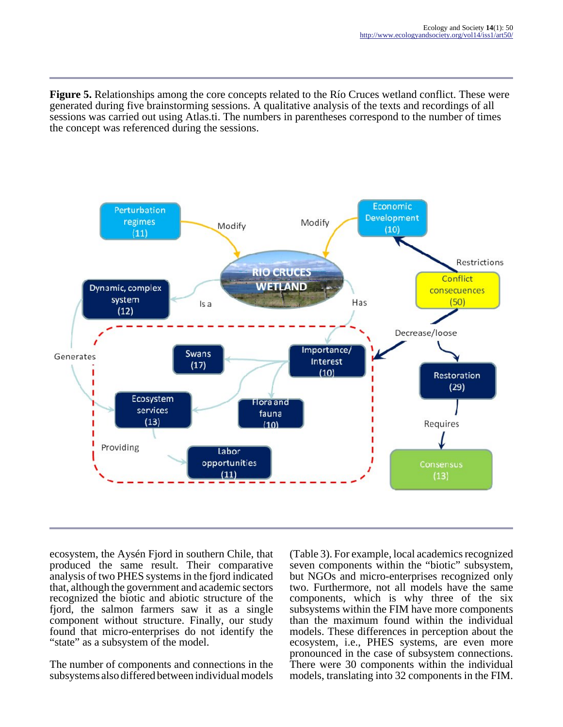**Figure 5.** Relationships among the core concepts related to the Río Cruces wetland conflict. These were generated during five brainstorming sessions. A qualitative analysis of the texts and recordings of all sessions was carried out using Atlas.ti. The numbers in parentheses correspond to the number of times the concept was referenced during the sessions.



ecosystem, the Aysén Fjord in southern Chile, that produced the same result. Their comparative analysis of two PHES systems in the fjord indicated that, although the government and academic sectors recognized the biotic and abiotic structure of the fjord, the salmon farmers saw it as a single component without structure. Finally, our study found that micro-enterprises do not identify the "state" as a subsystem of the model.

The number of components and connections in the subsystems also differed between individual models

(Table 3). For example, local academics recognized seven components within the "biotic" subsystem, but NGOs and micro-enterprises recognized only two. Furthermore, not all models have the same components, which is why three of the six subsystems within the FIM have more components than the maximum found within the individual models. These differences in perception about the ecosystem, i.e., PHES systems, are even more pronounced in the case of subsystem connections. There were 30 components within the individual models, translating into 32 components in the FIM.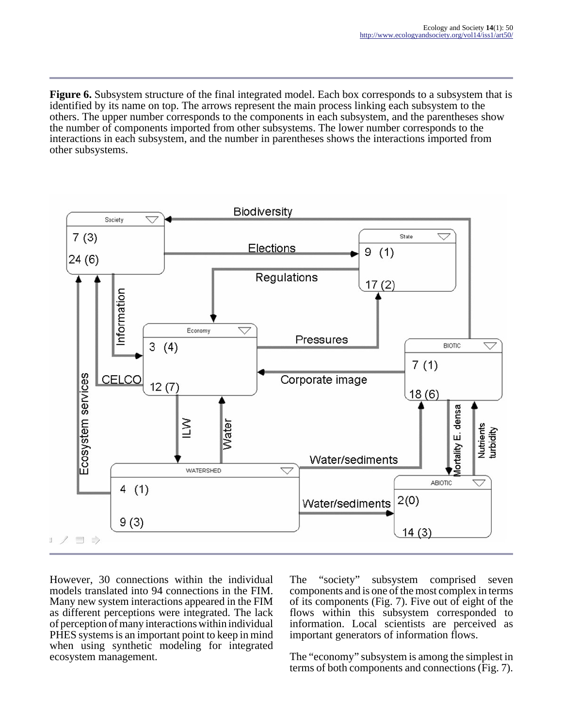**Figure 6.** Subsystem structure of the final integrated model. Each box corresponds to a subsystem that is identified by its name on top. The arrows represent the main process linking each subsystem to the others. The upper number corresponds to the components in each subsystem, and the parentheses show the number of components imported from other subsystems. The lower number corresponds to the interactions in each subsystem, and the number in parentheses shows the interactions imported from other subsystems.



However, 30 connections within the individual models translated into 94 connections in the FIM. Many new system interactions appeared in the FIM as different perceptions were integrated. The lack of perception of many interactions within individual PHES systems is an important point to keep in mind when using synthetic modeling for integrated ecosystem management.

The "society" subsystem comprised seven components and is one of the most complex in terms of its components (Fig. 7). Five out of eight of the flows within this subsystem corresponded to information. Local scientists are perceived as important generators of information flows.

The "economy" subsystem is among the simplest in terms of both components and connections (Fig. 7).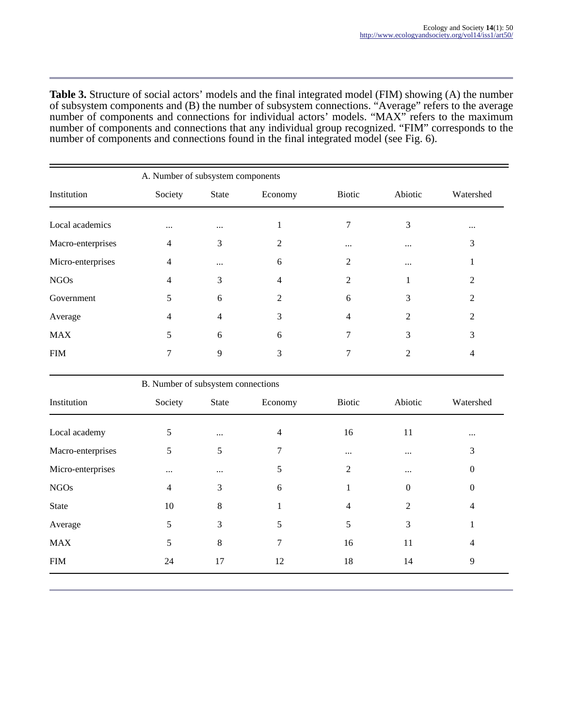**Table 3.** Structure of social actors' models and the final integrated model (FIM) showing (A) the number of subsystem components and (B) the number of subsystem connections. "Average" refers to the average number of components and connections for individual actors' models. "MAX" refers to the maximum number of components and connections that any individual group recognized. "FIM" corresponds to the number of components and connections found in the final integrated model (see Fig. 6).

|                   | A. Number of subsystem components |              |                             |               |                |                          |
|-------------------|-----------------------------------|--------------|-----------------------------|---------------|----------------|--------------------------|
| Institution       | Society                           | <b>State</b> | Economy                     | <b>Biotic</b> | Abiotic        | Watershed                |
| Local academics   | $\cdots$                          | $\cdots$     |                             |               | 3              | $\cdots$                 |
| Macro-enterprises | 4                                 | 3            | 2                           | $\cdots$      | $\cdots$       | 3                        |
| Micro-enterprises | 4                                 | $\cdots$     | 6                           | 2             | $\cdots$       |                          |
| <b>NGOs</b>       | 4                                 | 3            | 4                           | 2             |                | 2                        |
| Government        | 5                                 | 6            | $\mathcal{D}_{\mathcal{A}}$ | 6             | 3              | 2                        |
| Average           | 4                                 | 4            | 3                           | 4             | $\mathfrak{D}$ | $\overline{\mathcal{L}}$ |
| <b>MAX</b>        | 5                                 | 6            | 6                           |               | 3              | 3                        |
| FIM               | 7                                 | 9            | 3                           |               | 2              | 4                        |
|                   |                                   |              |                             |               |                |                          |

|                   | B. Number of subsystem connections |              |         |               |                  |                  |
|-------------------|------------------------------------|--------------|---------|---------------|------------------|------------------|
| Institution       | Society                            | <b>State</b> | Economy | <b>Biotic</b> | Abiotic          | Watershed        |
| Local academy     | 5                                  | $\cdots$     | 4       | 16            | 11               | $\cdots$         |
| Macro-enterprises | 5                                  | 5            | 7       | $\cdots$      | $\ddots$         | 3                |
| Micro-enterprises | $\cdots$                           | $\cdots$     | 5       | 2             | $\cdots$         | $\boldsymbol{0}$ |
| <b>NGOs</b>       | $\overline{4}$                     | 3            | 6       |               | $\boldsymbol{0}$ | $\mathbf{0}$     |
| <b>State</b>      | 10                                 | 8            |         | 4             | $\overline{2}$   | $\overline{4}$   |
| Average           | 5                                  | 3            | 5       | 5             | 3                | 1                |
| <b>MAX</b>        | 5                                  | 8            | 7       | 16            | 11               | 4                |
| <b>FIM</b>        | 24                                 | 17           | 12      | 18            | 14               | 9                |
|                   |                                    |              |         |               |                  |                  |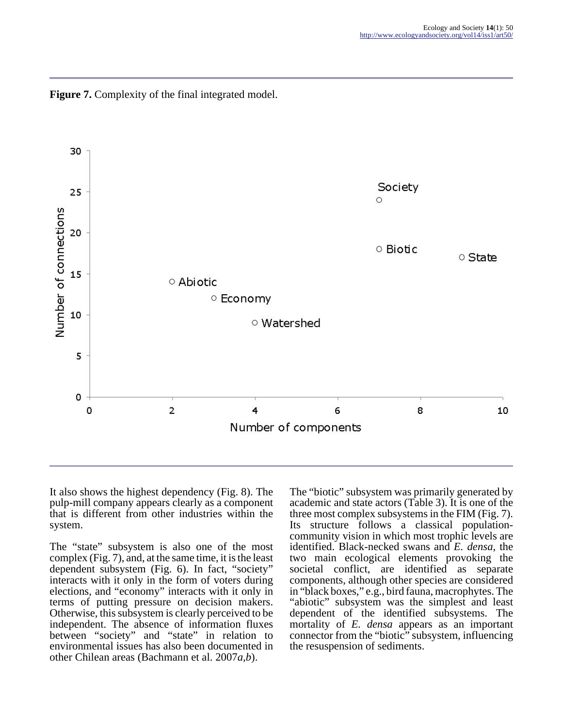

**Figure 7.** Complexity of the final integrated model.

It also shows the highest dependency (Fig. 8). The pulp-mill company appears clearly as a component that is different from other industries within the system.

The "state" subsystem is also one of the most complex (Fig. 7), and, at the same time, it is the least dependent subsystem (Fig. 6). In fact, "society" interacts with it only in the form of voters during elections, and "economy" interacts with it only in terms of putting pressure on decision makers. Otherwise, this subsystem is clearly perceived to be independent. The absence of information fluxes between "society" and "state" in relation to environmental issues has also been documented in other Chilean areas (Bachmann et al. 2007*a,b*).

The "biotic" subsystem was primarily generated by academic and state actors (Table 3). It is one of the three most complex subsystems in the FIM (Fig. 7). Its structure follows a classical populationcommunity vision in which most trophic levels are identified. Black-necked swans and *E. densa*, the two main ecological elements provoking the societal conflict, are identified as separate components, although other species are considered in "black boxes," e.g., bird fauna, macrophytes. The "abiotic" subsystem was the simplest and least dependent of the identified subsystems. The mortality of *E. densa* appears as an important connector from the "biotic" subsystem, influencing the resuspension of sediments.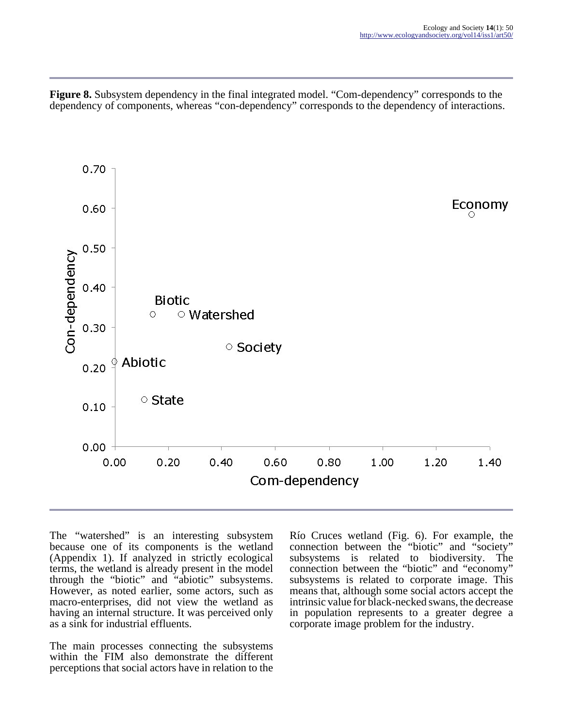**Figure 8.** Subsystem dependency in the final integrated model. "Com-dependency" corresponds to the dependency of components, whereas "con-dependency" corresponds to the dependency of interactions.



The "watershed" is an interesting subsystem because one of its components is the wetland (Appendix 1). If analyzed in strictly ecological terms, the wetland is already present in the model through the "biotic" and "abiotic" subsystems. However, as noted earlier, some actors, such as macro-enterprises, did not view the wetland as having an internal structure. It was perceived only as a sink for industrial effluents.

The main processes connecting the subsystems within the FIM also demonstrate the different perceptions that social actors have in relation to the

Río Cruces wetland (Fig. 6). For example, the connection between the "biotic" and "society" subsystems is related to biodiversity. The connection between the "biotic" and "economy" subsystems is related to corporate image. This means that, although some social actors accept the intrinsic value for black-necked swans, the decrease in population represents to a greater degree a corporate image problem for the industry.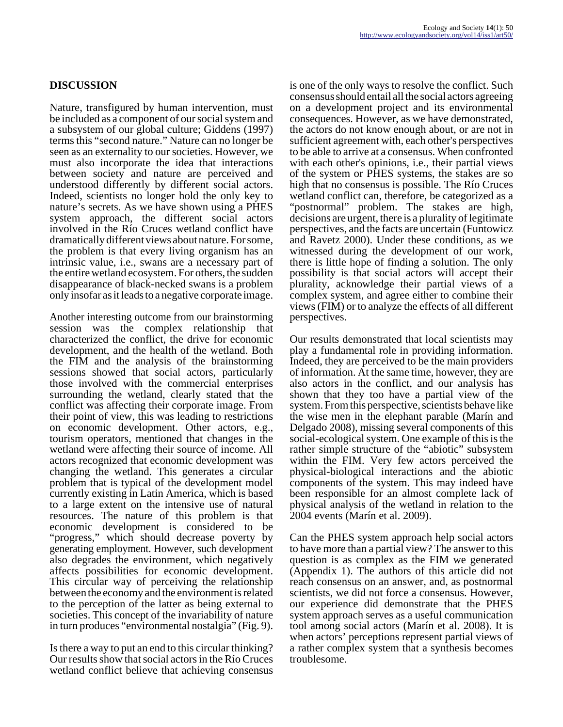# **DISCUSSION**

Nature, transfigured by human intervention, must be included as a component of our social system and a subsystem of our global culture; Giddens (1997) terms this "second nature." Nature can no longer be seen as an externality to our societies. However, we must also incorporate the idea that interactions between society and nature are perceived and understood differently by different social actors. Indeed, scientists no longer hold the only key to nature's secrets. As we have shown using a PHES system approach, the different social actors involved in the Río Cruces wetland conflict have dramatically different views about nature. For some, the problem is that every living organism has an intrinsic value, i.e., swans are a necessary part of the entire wetland ecosystem. For others, the sudden disappearance of black-necked swans is a problem only insofar as it leads to a negative corporate image.

Another interesting outcome from our brainstorming session was the complex relationship that characterized the conflict, the drive for economic development, and the health of the wetland. Both the FIM and the analysis of the brainstorming sessions showed that social actors, particularly those involved with the commercial enterprises surrounding the wetland, clearly stated that the conflict was affecting their corporate image. From their point of view, this was leading to restrictions on economic development. Other actors, e.g., tourism operators, mentioned that changes in the wetland were affecting their source of income. All actors recognized that economic development was changing the wetland. This generates a circular problem that is typical of the development model currently existing in Latin America, which is based to a large extent on the intensive use of natural resources. The nature of this problem is that economic development is considered to be "progress," which should decrease poverty by generating employment. However, such development also degrades the environment, which negatively affects possibilities for economic development. This circular way of perceiving the relationship between the economy and the environment is related to the perception of the latter as being external to societies. This concept of the invariability of nature in turn produces "environmental nostalgia" (Fig. 9).

Is there a way to put an end to this circular thinking? Our results show that social actors in the Río Cruces wetland conflict believe that achieving consensus is one of the only ways to resolve the conflict. Such consensus should entail all the social actors agreeing on a development project and its environmental consequences. However, as we have demonstrated, the actors do not know enough about, or are not in sufficient agreement with, each other's perspectives to be able to arrive at a consensus. When confronted with each other's opinions, i.e., their partial views of the system or PHES systems, the stakes are so high that no consensus is possible. The Río Cruces wetland conflict can, therefore, be categorized as a "postnormal" problem. The stakes are high, decisions are urgent, there is a plurality of legitimate perspectives, and the facts are uncertain (Funtowicz and Ravetz 2000). Under these conditions, as we witnessed during the development of our work, there is little hope of finding a solution. The only possibility is that social actors will accept their plurality, acknowledge their partial views of a complex system, and agree either to combine their views (FIM) or to analyze the effects of all different perspectives.

Our results demonstrated that local scientists may play a fundamental role in providing information. Indeed, they are perceived to be the main providers of information. At the same time, however, they are also actors in the conflict, and our analysis has shown that they too have a partial view of the system. From this perspective, scientists behave like the wise men in the elephant parable (Marín and Delgado 2008), missing several components of this social-ecological system. One example of this is the rather simple structure of the "abiotic" subsystem within the FIM. Very few actors perceived the physical-biological interactions and the abiotic components of the system. This may indeed have been responsible for an almost complete lack of physical analysis of the wetland in relation to the 2004 events (Marín et al. 2009).

Can the PHES system approach help social actors to have more than a partial view? The answer to this question is as complex as the FIM we generated (Appendix 1). The authors of this article did not reach consensus on an answer, and, as postnormal scientists, we did not force a consensus. However, our experience did demonstrate that the PHES system approach serves as a useful communication tool among social actors (Marín et al. 2008). It is when actors' perceptions represent partial views of a rather complex system that a synthesis becomes troublesome.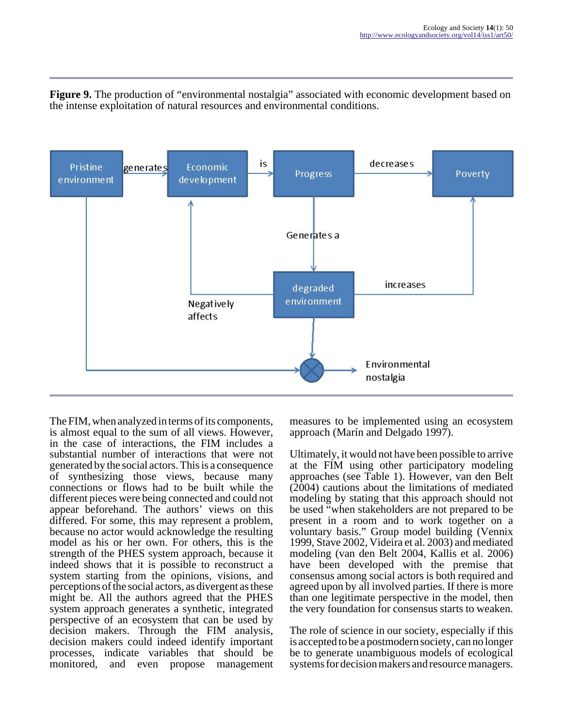**Figure 9.** The production of "environmental nostalgia" associated with economic development based on the intense exploitation of natural resources and environmental conditions.



The FIM, when analyzed in terms of its components, is almost equal to the sum of all views. However, in the case of interactions, the FIM includes a substantial number of interactions that were not generated by the social actors. This is a consequence of synthesizing those views, because many connections or flows had to be built while the different pieces were being connected and could not appear beforehand. The authors' views on this differed. For some, this may represent a problem, because no actor would acknowledge the resulting model as his or her own. For others, this is the strength of the PHES system approach, because it indeed shows that it is possible to reconstruct a system starting from the opinions, visions, and perceptions of the social actors, as divergent as these might be. All the authors agreed that the PHES system approach generates a synthetic, integrated perspective of an ecosystem that can be used by decision makers. Through the FIM analysis, decision makers could indeed identify important processes, indicate variables that should be monitored, and even propose management

measures to be implemented using an ecosystem approach (Marín and Delgado 1997).

Ultimately, it would not have been possible to arrive at the FIM using other participatory modeling approaches (see Table 1). However, van den Belt (2004) cautions about the limitations of mediated modeling by stating that this approach should not be used "when stakeholders are not prepared to be present in a room and to work together on a voluntary basis." Group model building (Vennix 1999, Stave 2002, Videira et al. 2003) and mediated modeling (van den Belt 2004, Kallis et al. 2006) have been developed with the premise that consensus among social actors is both required and agreed upon by all involved parties. If there is more than one legitimate perspective in the model, then the very foundation for consensus starts to weaken.

The role of science in our society, especially if this is accepted to be a postmodern society, can no longer be to generate unambiguous models of ecological systems for decision makers and resource managers.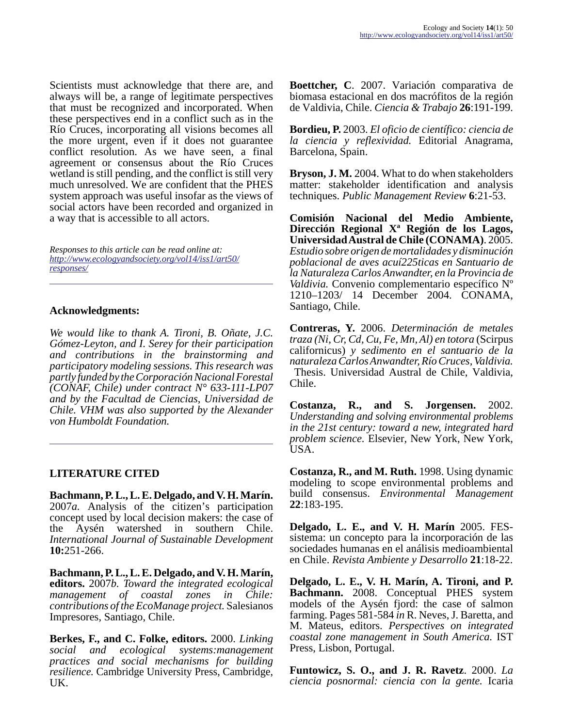Scientists must acknowledge that there are, and always will be, a range of legitimate perspectives that must be recognized and incorporated. When these perspectives end in a conflict such as in the Río Cruces, incorporating all visions becomes all the more urgent, even if it does not guarantee conflict resolution. As we have seen, a final agreement or consensus about the Río Cruces wetland is still pending, and the conflict is still very much unresolved. We are confident that the PHES system approach was useful insofar as the views of social actors have been recorded and organized in a way that is accessible to all actors.

*Responses to this article can be read online at: [http://www](http://www.ecologyandsociety.org/vol14/iss1/art50/responses/).ecologyandsociety.org/vol14/iss1/art50/ responses/*

#### **Acknowledgments:**

*We would like to thank A. Tironi, B. Oñate, J.C. Gómez-Leyton, and I. Serey for their participation and contributions in the brainstorming and participatory modeling sessions. This research was partly funded by the Corporación Nacional Forestal (CONAF, Chile) under contract N° 633-111-LP07 and by the Facultad de Ciencias, Universidad de Chile. VHM was also supported by the Alexander von Humboldt Foundation.*

### **LITERATURE CITED**

**Bachmann, P. L., L. E. Delgado, and V. H. Marín.** 2007*a.* Analysis of the citizen's participation concept used by local decision makers: the case of the Aysén watershed in southern Chile. *International Journal of Sustainable Development* **10:**251-266.

**Bachmann, P. L., L. E. Delgado, and V. H. Marín, editors.** 2007*b. Toward the integrated ecological management of coastal zones in Chile: contributions of the EcoManage project.* Salesianos Impresores, Santiago, Chile.

**Berkes, F., and C. Folke, editors.** 2000. *Linking social and ecological systems:management practices and social mechanisms for building resilience.* Cambridge University Press, Cambridge, UK.

**Boettcher, C**. 2007. Variación comparativa de biomasa estacional en dos macrófitos de la región de Valdivia, Chile. *Ciencia & Trabajo* **26**:191-199.

**Bordieu, P.** 2003. *El oficio de científico: ciencia de la ciencia y reflexividad.* Editorial Anagrama, Barcelona, Spain.

**Bryson, J. M.** 2004. What to do when stakeholders matter: stakeholder identification and analysis techniques. *Public Management Review* **6**:21-53.

**Comisión Nacional del Medio Ambiente, Dirección Regional Xª Región de los Lagos, Universidad Austral de Chile (CONAMA)**. 2005. *Estudio sobre origen de mortalidades y disminución poblacional de aves acuí225ticas en Santuario de la Naturaleza Carlos Anwandter, en la Provincia de Valdivia.* Convenio complementario específico Nº 1210–1203/ 14 December 2004. CONAMA, Santiago, Chile.

**Contreras, Y.** 2006. *Determinación de metales traza (Ni, Cr, Cd, Cu, Fe, Mn, Al) en totora* (Scirpus californicus) *y sedimento en el santuario de la naturaleza Carlos Anwandter, Río Cruces, Valdivia.* Thesis. Universidad Austral de Chile, Valdivia,

Chile. **Costanza, R., and S. Jorgensen.** 2002.

*Understanding and solving environmental problems in the 21st century: toward a new, integrated hard problem science.* Elsevier, New York, New York, USA.

**Costanza, R., and M. Ruth.** 1998. Using dynamic modeling to scope environmental problems and build consensus. *Environmental Management* **22**:183-195.

**Delgado, L. E., and V. H. Marín** 2005. FESsistema: un concepto para la incorporación de las sociedades humanas en el análisis medioambiental en Chile. *Revista Ambiente y Desarrollo* **21**:18-22.

**Delgado, L. E., V. H. Marín, A. Tironi, and P. Bachmann.** 2008. Conceptual PHES system models of the Aysén fjord: the case of salmon farming. Pages 581-584 *in* R. Neves, J. Baretta, and M. Mateus, editors. *Perspectives on integrated coastal zone management in South America.* IST Press, Lisbon, Portugal.

**Funtowicz, S. O., and J. R. Ravetz**. 2000. *La ciencia posnormal: ciencia con la gente.* Icaria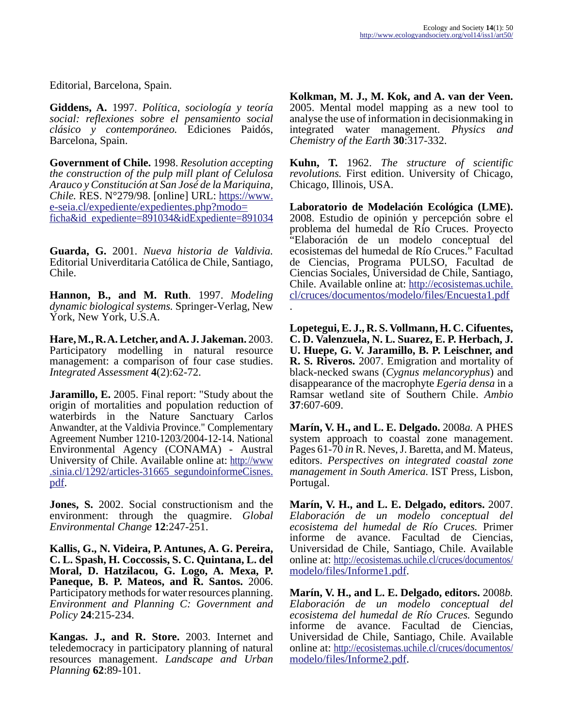Editorial, Barcelona, Spain.

**Giddens, A.** 1997. *Política, sociología y teoría social: reflexiones sobre el pensamiento social clásico y contemporáneo.* Ediciones Paidós, Barcelona, Spain.

**Government of Chile.** 1998. *Resolution accepting the construction of the pulp mill plant of Celulosa Arauco y Constitución at San José de la Mariquina, Chile.* RES. N°279/98. [online] URL: [https://www.](http://https://www.e-seia.cl/expediente/expedientes.php?modo=ficha&id_expediente=891034&idExpediente=891034) [e-seia.cl/expediente/expedientes.php?modo=](http://https://www.e-seia.cl/expediente/expedientes.php?modo=ficha&id_expediente=891034&idExpediente=891034) [ficha&id\\_expediente=891034&idExpediente=891034](http://https://www.e-seia.cl/expediente/expedientes.php?modo=ficha&id_expediente=891034&idExpediente=891034)

**Guarda, G.** 2001. *Nueva historia de Valdivia.* Editorial Univerditaria Católica de Chile, Santiago, Chile.

**Hannon, B., and M. Ruth**. 1997. *Modeling dynamic biological systems.* Springer-Verlag, New York, New York, U.S.A.

**Hare, M., R. A. Letcher, and A. J. Jakeman.** 2003. Participatory modelling in natural resource management: a comparison of four case studies. *Integrated Assessment* **4**(2):62-72.

**Jaramillo, E.** 2005. Final report: "Study about the origin of mortalities and population reduction of waterbirds in the Nature Sanctuary Carlos Anwandter, at the Valdivia Province." Complementary Agreement Number 1210-1203/2004-12-14. National Environmental Agency (CONAMA) - Austral University of Chile. Available online at: [http://www](http://www.sinia.cl/1292/articles-31665_segundoinformeCisnes.pdf). .sinia.cl/1292/articles-31665\_segundoinformeCisnes. [pdf.](http://www.sinia.cl/1292/articles-31665_segundoinformeCisnes.pdf)

**Jones, S.** 2002. Social constructionism and the environment: through the quagmire. *Global Environmental Change* **12**:247-251.

**Kallis, G., N. Videira, P. Antunes, A. G. Pereira, C. L. Spash, H. Coccossis, S. C. Quintana, L. del Moral, D. Hatzilacou, G. Logo, A. Mexa, P. Paneque, B. P. Mateos, and R. Santos.** 2006. Participatory methods for water resources planning. *Environment and Planning C: Government and Policy* **24**:215-234.

**Kangas. J., and R. Store.** 2003. Internet and teledemocracy in participatory planning of natural resources management. *Landscape and Urban Planning* **62**:89-101.

**Kolkman, M. J., M. Kok, and A. van der Veen.** 2005. Mental model mapping as a new tool to analyse the use of information in decisionmaking in integrated water management. *Physics and Chemistry of the Earth* **30**:317-332.

**Kuhn, T.** 1962. *The structure of scientific revolutions.* First edition. University of Chicago, Chicago, Illinois, USA.

**Laboratorio de Modelación Ecológica (LME).** 2008. Estudio de opinión y percepción sobre el problema del humedal de Río Cruces. Proyecto "Elaboración de un modelo conceptual del ecosistemas del humedal de Río Cruces." Facultad de Ciencias, Programa PULSO, Facultad de Ciencias Sociales, Universidad de Chile, Santiago, Chile. Available online at: [http://ecosistemas.uchile.](http://ecosistemas.uchile.cl/cruces/documentos/modelo/files/Encuesta1.pdf) [cl/cruces/documentos/modelo/files/Encuesta1.pdf](http://ecosistemas.uchile.cl/cruces/documentos/modelo/files/Encuesta1.pdf) .

**Lopetegui, E. J., R. S. Vollmann, H. C. Cifuentes, C. D. Valenzuela, N. L. Suarez, E. P. Herbach, J. U. Huepe, G. V. Jaramillo, B. P. Leischner, and R. S. Riveros.** 2007. Emigration and mortality of black-necked swans (*Cygnus melancoryphus*) and disappearance of the macrophyte *Egeria densa* in a Ramsar wetland site of Southern Chile. *Ambio* **37**:607-609.

**Marín, V. H., and L. E. Delgado.** 2008*a.* A PHES system approach to coastal zone management. Pages 61-70 *in* R. Neves, J. Baretta, and M. Mateus, editors. *Perspectives on integrated coastal zone management in South America.* IST Press, Lisbon, Portugal.

**Marín, V. H., and L. E. Delgado, editors.** 2007. *Elaboración de un modelo conceptual del ecosistema del humedal de Río Cruces.* Primer informe de avance. Facultad de Ciencias, Universidad de Chile, Santiago, Chile. Available online at: [http://ecosistemas.uchile.cl/cruces/documentos/](http://ecosistemas.uchile.cl/cruces/documentos/modelo/files/Informe1.pdf) [modelo/files/Informe1.pdf.](http://ecosistemas.uchile.cl/cruces/documentos/modelo/files/Informe1.pdf)

**Marín, V. H., and L. E. Delgado, editors.** 2008*b. Elaboración de un modelo conceptual del ecosistema del humedal de Río Cruces.* Segundo informe de avance. Facultad de Ciencias, Universidad de Chile, Santiago, Chile. Available online at: [http://ecosistemas.uchile.cl/cruces/documentos/](http://ecosistemas.uchile.cl/cruces/documentos/modelo/files/Informe2.pdf) [modelo/files/Informe2.pdf.](http://ecosistemas.uchile.cl/cruces/documentos/modelo/files/Informe2.pdf)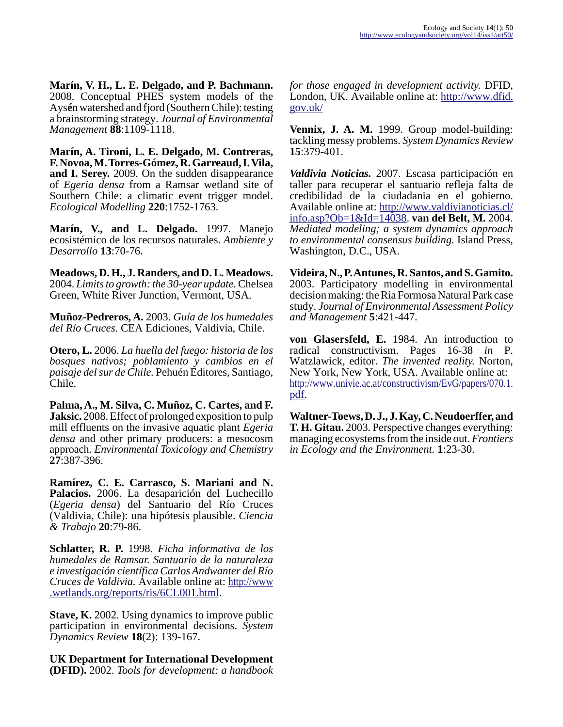**Marín, V. H., L. E. Delgado, and P. Bachmann.** 2008. Conceptual PHES system models of the Ays**é**n watershed and fjord (Southern Chile): testing a brainstorming strategy. *Journal of Environmental Management* **88**:1109-1118.

**Marín, A. Tironi, L. E. Delgado, M. Contreras, F. Novoa, M. Torres-Gómez, R. Garreaud, I. Vila, and I. Serey.** 2009. On the sudden disappearance of *Egeria densa* from a Ramsar wetland site of Southern Chile: a climatic event trigger model. *Ecological Modelling* **220**:1752-1763.

**Marín, V., and L. Delgado.** 1997. Manejo ecosistémico de los recursos naturales. *Ambiente y Desarrollo* **13**:70-76.

**Meadows, D. H., J. Randers, and D. L. Meadows.** 2004. *Limits to growth: the 30-year update.* Chelsea Green, White River Junction, Vermont, USA.

**Muñoz-Pedreros, A.** 2003. *Guía de los humedales del Río Cruces.* CEA Ediciones, Valdivia, Chile.

**Otero, L.** 2006. *La huella del fuego: historia de los bosques nativos; poblamiento y cambios en el paisaje del sur de Chile.* Pehuén Editores, Santiago, Chile.

**Palma, A., M. Silva, C. Muñoz, C. Cartes, and F. Jaksic.** 2008. Effect of prolonged exposition to pulp mill effluents on the invasive aquatic plant *Egeria densa* and other primary producers: a mesocosm approach. *Environmental Toxicology and Chemistry* **27**:387-396.

**Ramírez, C. E. Carrasco, S. Mariani and N. Palacios.** 2006. La desaparición del Luchecillo (*Egeria densa*) del Santuario del Río Cruces (Valdivia, Chile): una hipótesis plausible. *Ciencia & Trabajo* **20**:79-86.

**Schlatter, R. P.** 1998. *Ficha informativa de los humedales de Ramsar. Santuario de la naturaleza e investigación científica Carlos Andwanter del Río Cruces de Valdivia.* Available online at: [http://www](http://www.wetlands.org/reports/ris/6CL001.html) [.wetlands.org/reports/ris/6CL001.html](http://www.wetlands.org/reports/ris/6CL001.html).

**Stave, K.** 2002. Using dynamics to improve public participation in environmental decisions. *System Dynamics Review* **18**(2): 139-167.

**UK Department for International Development (DFID).** 2002. *Tools for development: a handbook*

*for those engaged in development activity.* DFID, London, UK. Available online at: [http://www.dfid.](http://www.dfid.gov.uk/) [gov.uk/](http://www.dfid.gov.uk/)

**Vennix, J. A. M.** 1999. Group model-building: tackling messy problems. *System Dynamics Review* **15**:379-401.

*Valdivia Noticias.* 2007. Escasa participación en taller para recuperar el santuario refleja falta de credibilidad de la ciudadania en el gobierno. Available online at: [http://www.valdivianoticias.cl/](http://www.valdivianoticias.cl/info.asp?Ob=1&Id=14038) [info.asp?Ob=1&Id=14038](http://www.valdivianoticias.cl/info.asp?Ob=1&Id=14038). **van del Belt, M.** 2004. *Mediated modeling; a system dynamics approach to environmental consensus building.* Island Press, Washington, D.C., USA.

**Videira, N., P. Antunes, R. Santos, and S. Gamito.** 2003. Participatory modelling in environmental decision making: the Ria Formosa Natural Park case study. *Journal of Environmental Assessment Policy and Management* **5**:421-447.

**von Glasersfeld, E.** 1984. An introduction to radical constructivism. Pages 16-38 *in* P. Watzlawick, editor. *The invented reality.* Norton, New York, New York, USA. Available online at: [http://www.univie.ac.at/constructivism/EvG/papers/070.1.](http://www.univie.ac.at/constructivism/EvG/papers/070.1.pdf) [pdf.](http://www.univie.ac.at/constructivism/EvG/papers/070.1.pdf)

**Waltner-Toews, D. J., J. Kay, C. Neudoerffer, and T. H. Gitau.** 2003. Perspective changes everything: managing ecosystems from the inside out. *Frontiers in Ecology and the Environment.* **1**:23-30.